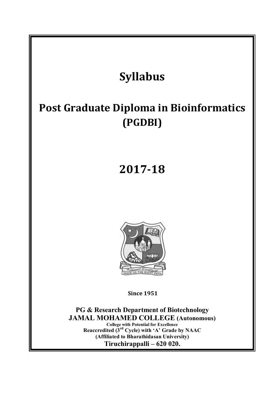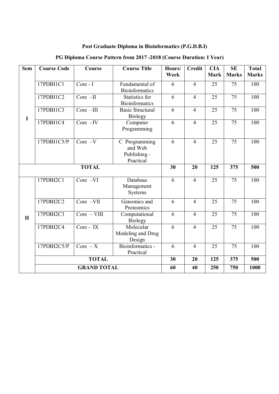# **Post Graduate Diploma in Bioinformatics (P.G.D.B.I)**

| <b>Sem</b>   | <b>Course Code</b> | Course                       | <b>Course Title</b>                                           | Hours/<br>Week | Credit         | <b>CIA</b><br>Mark | <b>SE</b><br><b>Marks</b> | <b>Total</b><br><b>Marks</b> |
|--------------|--------------------|------------------------------|---------------------------------------------------------------|----------------|----------------|--------------------|---------------------------|------------------------------|
| $\mathbf I$  | 17PDBI1C1          | Core - I                     | Fundamental of<br><b>Bioinformatics</b>                       | 6              | $\overline{4}$ | 25                 | 75                        | 100                          |
|              | 17PDBI1C2          | $Core$ -II                   | Statistics for<br>Bioinformatics                              | 6              | $\overline{4}$ | 25                 | 75                        | 100                          |
|              | 17PDBI1C3          | Core -III                    | <b>Basic Structural</b><br><b>Biology</b>                     | 6              | $\overline{4}$ | 25                 | 75                        | 100                          |
|              | 17PDBI1C4          | $Core -IV$                   | Computer<br>Programming                                       | 6              | $\overline{4}$ | 25                 | $\overline{75}$           | 100                          |
|              | 17PDBI1C5/P        | $Core -V$                    | C Programming<br>and Web<br>Publishing -<br>Practical         | 6              | $\overline{4}$ | 25                 | 75                        | 100                          |
|              | <b>TOTAL</b>       |                              |                                                               |                | 20             | 125                | 375                       | 500                          |
| $\mathbf{I}$ | 17PDBI2C1          | $Core -VI$                   | Database<br>Management<br>Systems                             | 6              | $\overline{4}$ | 25                 | 75                        | 100                          |
|              | 17PDBI2C2          | Core -VII                    | Genomics and<br>Proteomics                                    | 6              | $\overline{4}$ | 25                 | 75                        | 100                          |
|              | 17PDBI2C3          | $Core - VIII$                | Computational<br><b>Biology</b>                               | 6              | $\overline{4}$ | 25                 | 75                        | 100                          |
|              | 17PDBI2C4          | Core - IX                    | $\overline{\text{M}}$ olecular<br>Modeling and Drug<br>Design | 6              | $\overline{4}$ | 25                 | 75                        | 100                          |
|              | 17PDBI2C5/P        | $\overline{\text{Core} - X}$ | Bioinformatics -<br>Practical                                 | 6              | $\overline{4}$ | 25                 | 75                        | 100                          |
|              | <b>TOTAL</b>       |                              |                                                               | 30             | 20             | 125                | 375                       | 500                          |
|              | <b>GRAND TOTAL</b> |                              |                                                               | 60             | 40             | 250                | 750                       | 1000                         |

# **PG Diploma Course Pattern from 2017 -2018 (Course Duration: I Year)**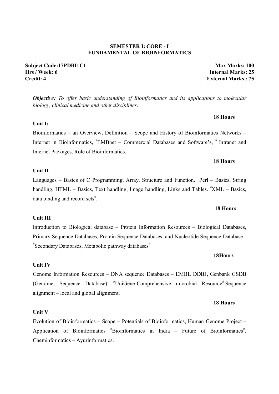#### **SEMESTER I: CORE - I FUNDAMENTAL OF BIOINFORMATICS**

**Subject Code:17PDBI1C1 Max Marks: 100 Hrs / Week: 6 Internal Marks: 25 Credit: 4 External Marks : 75**

*Objective: To offer basic understanding of Bioinformatics and its applications to molecular biology, clinical medicine and other disciplines.* 

 **18 Hours** 

**18 Hours**

**Unit I:**  Bioinformatics – an Overview, Definition – Scope and History of Bioinformatics Networks – Internet in Bioinformatics, <sup>#</sup>EMBnet – Commercial Databases and Software's, <sup>#</sup> Intranet and Internet Packages. Role of Bioinformatics.

#### **Unit II**

Languages – Basics of C Programming, Array, Structure and Function. Perl – Basics, String handling. HTML – Basics, Text handling, Image handling, Links and Tables.  $\frac{H}{X}N\Lambda L$  – Basics, data binding and record sets<sup>#</sup>.

**18 Hours**

#### **Unit III**

Introduction to Biological database – Protein Information Resources – Biological Databases, Primary Sequence Databases, Protein Sequence Databases, and Nucleotide Sequence Database - # Secondary Databases, Metabolic pathway databases#.

Genome Information Resources – DNA sequence Databases – EMBL DDBJ, Genbank GSDB (Genome, Sequence Database), <sup>#</sup>UniGene-Comprehensive microbial Resource<sup>#</sup>.Sequence alignment – local and global alignment.

Evolution of Bioinformatics – Scope – Potentials of Bioinformatics, Human Genome Project – Application of Bioinformatics #Bioinformatics in India – Future of Bioinformatics#. Cheminformatics – Ayurinformatics.

#### **18 Hours**

## **Unit V**

# **18Hours**

**Unit IV**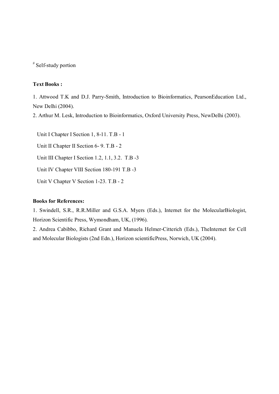#### **Text Books :**

1. Attwood T.K and D.J. Parry-Smith, Introduction to Bioinformatics, PearsonEducation Ltd., New Delhi (2004).

2. Arthur M. Lesk, Introduction to Bioinformatics, Oxford University Press, NewDelhi (2003).

Unit I Chapter I Section 1, 8-11. T.B - 1 Unit II Chapter II Section 6- 9. T.B - 2 Unit III Chapter I Section 1.2, 1.1, 3.2. T.B -3 Unit IV Chapter VIII Section 180-191 T.B -3 Unit V Chapter V Section 1-23. T.B - 2

#### **Books for References:**

1. Swindell, S.R., R.R.Miller and G.S.A. Myers (Eds.), Internet for the MolecularBiologist, Horizon Scientific Press, Wymondham, UK, (1996).

2. Andrea Cabibbo, Richard Grant and Manuela Helmer-Citterich (Eds.), TheInternet for Cell and Molecular Biologists (2nd Edn.), Horizon scientificPress, Norwich, UK (2004).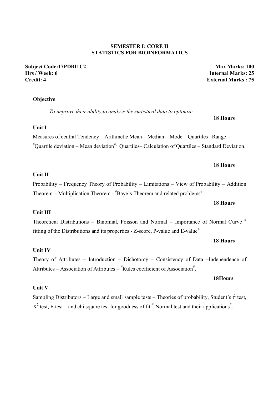#### **SEMESTER I: CORE II STATISTICS FOR BIOINFORMATICS**

**Subject Code:17PDBI1C2 Max Marks: 100 Hrs / Week: 6 Internal Marks: 25 Credit: 4 External Marks : 75**

#### **Objective**

*To improve their ability to analyze the statistical data to optimize.* 

#### **Unit I**

Measures of central Tendency – Arithmetic Mean – Median – Mode – Quartiles –Range –  $^{\#}$ Quartile deviation – Mean deviation<sup>#.</sup> Quartiles– Calculation of Quartiles – Standard Deviation.

 **18 Hours**

#### **18 Hours**

#### **Unit II**

Probability – Frequency Theory of Probability – Limitations – View of Probability – Addition Theorem – Multiplication Theorem -  $H$ Baye's Theorem and related problems<sup>#</sup>.

#### **18 Hours**

### **Unit III**

Theoretical Distributions – Binomial, Poisson and Normal – Importance of Normal Curve  $#$ fitting of the Distributions and its properties - Z-score, P-value and E-value<sup>#</sup>.

#### **18 Hours**

#### **Unit IV**

Theory of Attributes – Introduction – Dichotomy – Consistency of Data –Independence of Attributes – Association of Attributes –  $*$ Rules coefficient of Association<sup>#</sup>.

#### **Unit V**

Sampling Distributors – Large and small sample tests – Theories of probability, Student's  $t^2$  test,  $X^2$  test, F-test – and chi square test for goodness of fit  $^{\#}$ . Normal test and their applications<sup>#</sup>.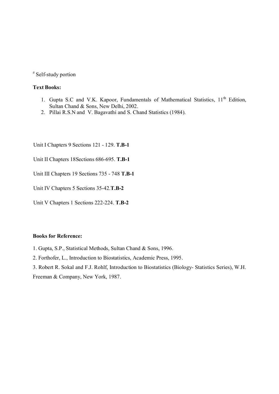#### **Text Books:**

- 1. Gupta S.C and V.K. Kapoor, Fundamentals of Mathematical Statistics, 11<sup>th</sup> Edition, Sultan Chand & Sons, New Delhi, 2002.
- 2. Pillai R.S.N and V. Bagavathi and S. Chand Statistics (1984).

Unit I Chapters 9 Sections 121 - 129. **T.B-1**

Unit II Chapters 18Sections 686-695. **T.B-1**

Unit III Chapters 19 Sections 735 - 748 **T.B-1**

Unit IV Chapters 5 Sections 35-42.**T.B-2**

Unit V Chapters 1 Sections 222-224. **T.B-2** 

#### **Books for Reference:**

1. Gupta, S.P., Statistical Methods, Sultan Chand & Sons, 1996.

2. Forthofer, L., Introduction to Biostatistics, Academic Press, 1995.

3. Robert R. Sokal and F.J. Rohlf, Introduction to Biostatistics (Biology- Statistics Series), W.H.

Freeman & Company, New York, 1987.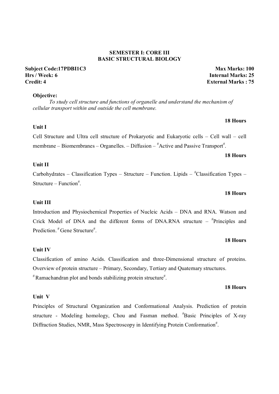#### **SEMESTER I: CORE III BASIC STRUCTURAL BIOLOGY**

#### **Objective:**

*To study cell structure and functions of organelle and understand the mechanism of cellular transport within and outside the cell membrane.* 

Cell Structure and Ultra cell structure of Prokaryotic and Eukaryotic cells – Cell wall – cell membrane – Biomembranes – Organelles. – Diffusion –  $*$ Active and Passive Transport $*$ .

#### **Unit II**

**Unit I** 

Carbohydrates – Classification Types – Structure – Function. Lipids –  $*$ Classification Types – Structure – Function<sup>#</sup>.

#### **18 Hours**

#### **Unit III**

Introduction and Physiochemical Properties of Nucleic Acids – DNA and RNA. Watson and Crick Model of DNA and the different forms of DNA.RNA structure  $*$ Principles and Prediction.<sup>#</sup>Gene Structure<sup>#</sup>.

#### **Unit IV**

Classification of amino Acids. Classification and three-Dimensional structure of proteins. Overview of protein structure – Primary, Secondary, Tertiary and Quaternary structures.  $*$ Ramachandran plot and bonds stabilizing protein structure $*$ .

#### **18 Hours**

#### **Unit V**

Principles of Structural Organization and Conformational Analysis. Prediction of protein structure - Modeling homology, Chou and Fasman method. <sup>#</sup>Basic Principles of X-ray Diffraction Studies, NMR, Mass Spectroscopy in Identifying Protein Conformation<sup>#</sup>.

#### **Subject Code:17PDBI1C3 Max Marks: 100 Hrs / Week: 6 Internal Marks: 25 Credit: 4 External Marks : 75**

**18 Hours** 

**18 Hours**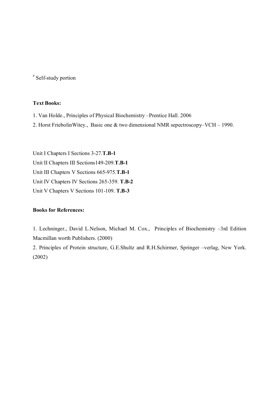#### **Text Books:**

- 1. Van Holde., Principles of Physical Biochemistry –Prentice Hall. 2006
- 2. Horst FriebolinWitey., Basic one & two dimensional NMR sepectroscopy–VCH 1990.

Unit I Chapters I Sections 3-27.**T.B-1** Unit II Chapters III Sections149-209.**T.B-1** Unit III Chapters V Sections 665-975.**T.B-1** Unit IV Chapters IV Sections 265-359. **T.B-2** Unit V Chapters V Sections 101-109. **T.B-3**

#### **Books for References:**

1. Lechninger., David L.Nelson, Michael M. Cox., Principles of Biochemistry –3rd Edition Macmillan worth Publishers. (2000)

2. Principles of Protein structure, G.E.Shultz and R.H.Schirmer, Springer –verlag, New York. (2002)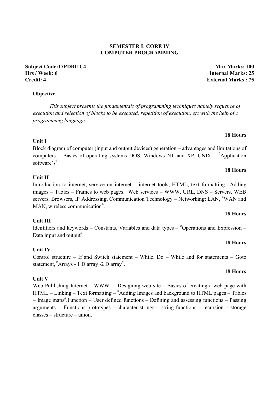### **SEMESTER I: CORE IV COMPUTER PROGRAMMING**

**Subject Code:17PDBI1C4 Max Marks: 100 Hrs / Week: 6 Internal Marks: 25 Credit: 4 External Marks : 75**

### **Objective**

*This subject presents the fundamentals of programming techniques namely sequence of execution and selection of blocks to be executed, repetition of execution, etc with the help of c programming language.* 

Block diagram of computer (input and output devices) generation – advantages and limitations of computers – Basics of operating systems DOS, Windows NT and XP, UNIX –  $*$ Application software's<sup>#</sup>.

### **Unit II**

**Unit I** 

Introduction to internet, service on internet – internet tools, HTML, text formatting –Adding images – Tables – Frames to web pages. Web services – WWW, URL, DNS – Servers, WEB servers, Browsers, IP Addressing, Communication Technology - Networking: LAN, "WAN and MAN, wireless communication<sup>#</sup>.

### **Unit III**

Identifiers and keywords – Constants, Variables and data types –  $*$ Operations and Expression – Data input and output<sup>#</sup>.

### **Unit IV**

Control structure – If and Switch statement – While, Do – While and for statements – Goto statement,  $*$ Arrays - 1 D array -2 D array<sup>#</sup>.

### **Unit V**

Web Publishing Internet – WWW – Designing web site – Basics of creating a web page with HTML – Linking – Text formatting – # Adding Images and background to HTML pages – Tables – Image maps<sup>#</sup>.Function – User defined functions – Defining and assessing functions – Passing arguments - Functions prototypes – character strings – string functions – recursion – storage classes – structure – union.

# **18 Hours**

**18 Hours** 

#### **18 Hours**

**18 Hours**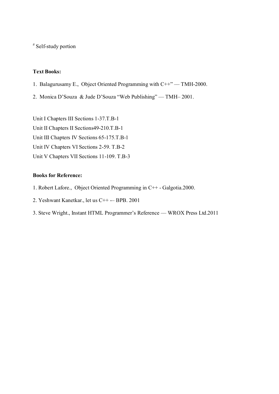#### **Text Books:**

- 1. Balagurusamy E., Object Oriented Programming with C++" –– TMH-2000.
- 2. Monica D'Souza & Jude D'Souza "Web Publishing" –– TMH– 2001.

Unit I Chapters III Sections 1-37.T.B-1 Unit II Chapters II Sections49-210.T.B-1 Unit III Chapters IV Sections 65-175.T.B-1 Unit IV Chapters VI Sections 2-59. T.B-2 Unit V Chapters VII Sections 11-109. T.B-3

#### **Books for Reference:**

- 1. Robert Lafore., Object Oriented Programming in C++ Galgotia.2000.
- 2. Yeshwant Kanetkar., let us C++ -– BPB. 2001
- 3. Steve Wright., Instant HTML Programmer's Reference –– WROX Press Ltd.2011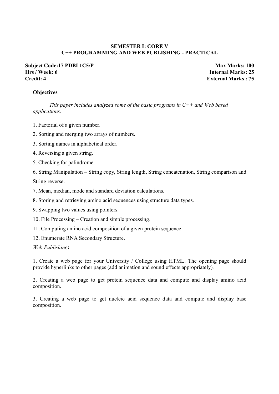#### **SEMESTER I: CORE V C++ PROGRAMMING AND WEB PUBLISHING - PRACTICAL**

#### **Subject Code:17 PDBI 1C5/P Max Marks: 100 Hrs / Week: 6 Internal Marks: 25 Credit: 4 External Marks : 75**

#### **Objectives**

*This paper includes analyzed some of the basic programs in C++ and Web based applications.* 

- 1. Factorial of a given number.
- 2. Sorting and merging two arrays of numbers.
- 3. Sorting names in alphabetical order.
- 4. Reversing a given string.
- 5. Checking for palindrome.

6. String Manipulation – String copy, String length, String concatenation, String comparison and String reverse.

- 7. Mean, median, mode and standard deviation calculations.
- 8. Storing and retrieving amino acid sequences using structure data types.
- 9. Swapping two values using pointers.
- 10. File Processing Creation and simple processing.
- 11. Computing amino acid composition of a given protein sequence.
- 12. Enumerate RNA Secondary Structure.

*Web Publishing***:**

1. Create a web page for your University / College using HTML. The opening page should provide hyperlinks to other pages (add animation and sound effects appropriately).

2. Creating a web page to get protein sequence data and compute and display amino acid composition.

3. Creating a web page to get nucleic acid sequence data and compute and display base composition.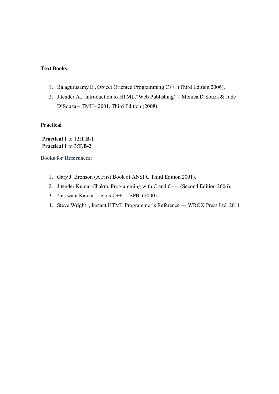#### **Text Books:**

- 1. Balagurusamy E., Object Oriented Programming C++. (Third Edition 2006).
- 2. Jitender A., Introduction to HTML."Web Publishing" Monica D'Souza & Jude D'Souza – TMH– 2001. Third Edition (2008).

**Practical**

**Practical** 1 to 12:**T.B-1 Practical** 1 to 3:**T.B-2**

**Books for References:**

- 1. Gary J. Bronson (A First Book of ANSI C Third Edition 2001).
- 2. Jitender Kumar Chakra, Programming with C and C++. (Second Edition 2006).
- 3. Yes want Kantar., let us  $C_{++}$  BPB. (2000)
- 4. Steve Wright ., Instant HTML Programmer's Reference WROX Press Ltd. 2011.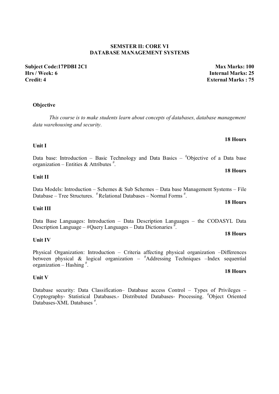### **SEMSTER II: CORE VI DATABASE MANAGEMENT SYSTEMS**

**Subject Code:17PDBI 2C1 Max Marks: 100 Hrs / Week: 6 Internal Marks: 25 Credit: 4 External Marks : 75**

### **Objective**

*This course is to make students learn about concepts of databases, database management data warehousing and security.* 

# **Unit I**

Data base: Introduction – Basic Technology and Data Basics – #Objective of a Data base organization – Entities & Attributes  $\overset{\#}{\sim}$ .

#### **Unit II**

Data Models: Introduction – Schemes & Sub Schemes – Data base Management Systems – File Database – Tree Structures. <sup>#</sup> Relational Databases – Normal Forms <sup>#</sup>.

#### **Unit III**

Data Base Languages: Introduction – Data Description Languages – the CODASYL Data Description Language –  $\#$ Query Languages – Data Dictionaries  $\frac{\pi}{L}$ .

#### **Unit IV**

Physical Organization: Introduction – Criteria affecting physical organization –Differences between physical  $\&$  logical organization –  $^{\#}$ Addressing Techniques –Index sequential organization – Hashing # .

#### **Unit V**

Database security: Data Classification– Database access Control – Types of Privileges – Cryptography- Statistical Databases.- Distributed Databases- Processing. # Object Oriented Databases-XML Databases<sup>#</sup>.

# **18 Hours**

## **18 Hours**

# **18 Hours**

# **18 Hours**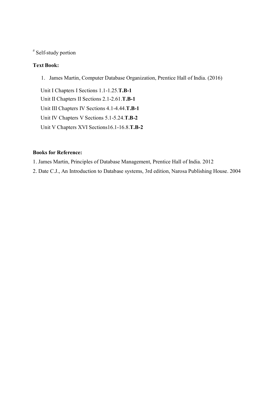### **Text Book:**

1. James Martin, Computer Database Organization, Prentice Hall of India. (2016)

Unit I Chapters I Sections 1.1-1.25.**T.B-1** Unit II Chapters II Sections 2.1-2.61.**T.B-1** Unit III Chapters IV Sections 4.1-4.44.**T.B-1** Unit IV Chapters V Sections 5.1-5.24.**T.B-2** Unit V Chapters XVI Sections16.1-16.8.**T.B-2**

### **Books for Reference:**

1. James Martin, Principles of Database Management, Prentice Hall of India. 2012

2. Date C.J., An Introduction to Database systems, 3rd edition, Narosa Publishing House. 2004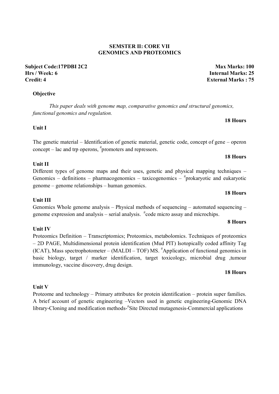#### **SEMSTER II: CORE VII GENOMICS AND PROTEOMICS**

**Subject Code:17PDBI 2C2 Max Marks: 100 Hrs / Week: 6 Internal Marks: 25 Credit: 4 External Marks : 75**

**18 Hours**

**18 Hours**

#### **Objective**

 *This paper deals with genome map, comparative genomics and structural genomics, functional genomics and regulation.* 

**Unit I** 

The genetic material – Identification of genetic material, genetic code, concept of gene – operon concept – lac and trp operons, # promoters and repressors.

#### **Unit II**

Different types of genome maps and their uses, genetic and physical mapping techniques – Genomics – definitions – pharmacogenomics – taxicogenomics –  $*$ prokaryotic and eukaryotic genome – genome relationships – human genomics.

#### **18 Hours**

#### **Unit III**

Genomics Whole genome analysis – Physical methods of sequencing – automated sequencing – genome expression and analysis – serial analysis. <sup>#</sup>code micro assay and microchips.

#### **8 Hours**

### **Unit IV**  Proteomics Definition – Transcriptomics; Proteomics, metabolomics. Techniques of proteomics – 2D PAGE, Multidimensional protein identification (Mud PIT) Isotopically coded affinity Tag (ICAT), Mass spectrophotometer – (MALDI – TOF) MS. # Application of functional genomics in basic biology, target / marker identification, target toxicology, microbial drug ,tumour immunology, vaccine discovery, drug design.

#### **18 Hours**

#### **Unit V**

Proteome and technology – Primary attributes for protein identification – protein super families. A brief account of genetic engineering –Vectors used in genetic engineering-Genomic DNA library-Cloning and modification methods-#Site Directed mutagenesis-Commercial applications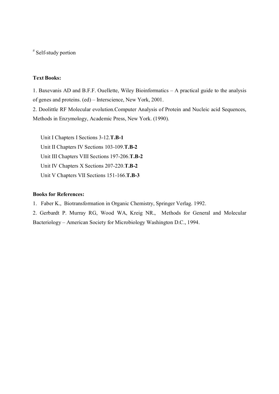#### **Text Books:**

1. Baxevanis AD and B.F.F. Ouellette, Wiley Bioinformatics – A practical guide to the analysis of genes and proteins. (ed) – Interscience, New York, 2001.

2. Doolittle RF Molecular evolution.Computer Analysis of Protein and Nucleic acid Sequences, Methods in Enzymology, Academic Press, New York. (1990).

Unit I Chapters I Sections 3-12.**T.B-1** Unit II Chapters IV Sections 103-109.**T.B-2** Unit III Chapters VIII Sections 197-206.**T.B-2** Unit IV Chapters X Sections 207-220.**T.B-2** Unit V Chapters VII Sections 151-166.**T.B-3**

#### **Books for References:**

1. Faber K., Biotransformation in Organic Chemistry, Springer Verlag. 1992.

2. Gerbardt P. Murray RG, Wood WA, Kreig NR., Methods for General and Molecular Bacteriology – American Society for Microbiology Washington D.C., 1994.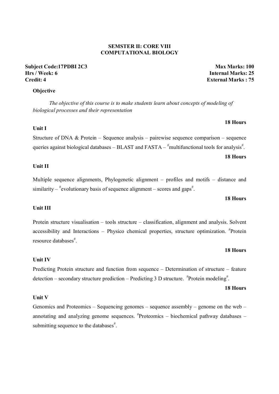#### **SEMSTER II: CORE VIII COMPUTATIONAL BIOLOGY**

#### **Subject Code:17PDBI 2C3 Max Marks: 100 Hrs / Week: 6 Internal Marks: 25 Credit: 4 External Marks : 75**

#### **Objective**

*The objective of this course is to make students learn about concepts of modeling of biological processes and their representation* 

#### **Unit I**

Structure of DNA & Protein – Sequence analysis – pairewise sequence comparison – sequence queries against biological databases – BLAST and FASTA –  $^{\#}$ multifunctional tools for analysis<sup>#</sup>.

#### **Unit II**

Multiple sequence alignments, Phylogenetic alignment – profiles and motifs – distance and similarity –  $*$ evolutionary basis of sequence alignment – scores and gaps<sup>#</sup>.

#### **18 Hours**

#### **Unit III**

Protein structure visualisation – tools structure – classification, alignment and analysis. Solvent accessibility and Interactions - Physico chemical properties, structure optimization. <sup>#</sup>Protein resource databases<sup>#</sup>.

#### **18 Hours**

#### **Unit IV**

Predicting Protein structure and function from sequence – Determination of structure – feature detection – secondary structure prediction – Predicting 3 D structure.  $\textsuperscript{#}$ Protein modeling<sup>#</sup>.

## **18 Hours**

### **Unit V**

Genomics and Proteomics – Sequencing genomes – sequence assembly – genome on the web – annotating and analyzing genome sequences. # Proteomics – biochemical pathway databases – submitting sequence to the databases $*$ .

# **18 Hours**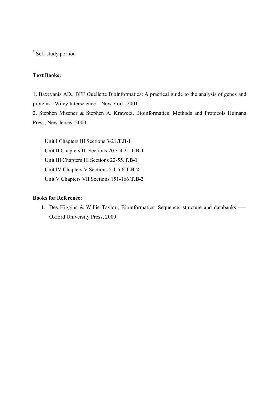### **Text Books:**

1. Baxevanis AD., BFF Ouellette Bioinformatics: A practical guide to the analysis of genes and proteins– Wiley Interscience – New York. 2001

2. Stephen Misener & Stephen A. Krawetz, Bioinformatics: Methods and Protocols Humana Press, New Jersey. 2000.

Unit I Chapters III Sections 3-21.**T.B-1** Unit II Chapters III Sections 20.3-4.21.**T.B-1** Unit III Chapters III Sections 22-55.**T.B-1** Unit IV Chapters V Sections 5.1-5.6.**T.B-2** Unit V Chapters VII Sections 151-166.**T.B-2**

### **Books for Reference:**

1. Des Higgins & Willie Taylor., Bioinformatics: Sequence, structure and databanks ––– Oxford University Press, 2000.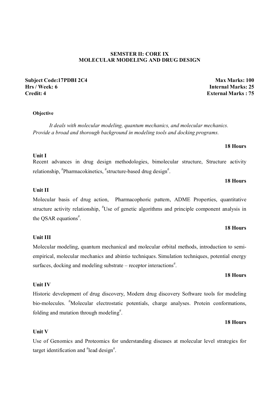#### **SEMSTER II: CORE IX MOLECULAR MODELING AND DRUG DESIGN**

#### **Subject Code:17PDBI 2C4 Max Marks: 100 Hrs / Week: 6 Internal Marks: 25 Credit: 4 External Marks : 75**

#### **Objective**

*It deals with molecular modeling, quantum mechanics, and molecular mechanics. Provide a broad and thorough background in modeling tools and docking programs.* 

#### **18 Hours**

Recent advances in drug design methodologies, bimolecular structure, Structure activity relationship, #Pharmacokinetics, #structure-based drug design#.

#### **18 Hours**

#### **Unit II**

**Unit I** 

Molecular basis of drug action, Pharmacophoric pattern, ADME Properties, quantitative structure activity relationship, "Use of genetic algorithms and principle component analysis in the QSAR equations<sup>#</sup>.

#### **18 Hours**

#### **18 Hours**

#### **18 Hours**

Use of Genomics and Proteomics for understanding diseases at molecular level strategies for target identification and "lead design".

#### **Unit III**

Molecular modeling, quantum mechanical and molecular orbital methods, introduction to semiempirical, molecular mechanics and abintio techniques. Simulation techniques, potential energy surfaces, docking and modeling substrate  $-$  receptor interactions<sup>#</sup>.

Historic development of drug discovery, Modern drug discovery Software tools for modeling

# bio-molecules. <sup>#</sup>Molecular electrostatic potentials, charge analyses. Protein conformations, folding and mutation through modeling<sup>#</sup>.

**Unit IV** 

#### **Unit V**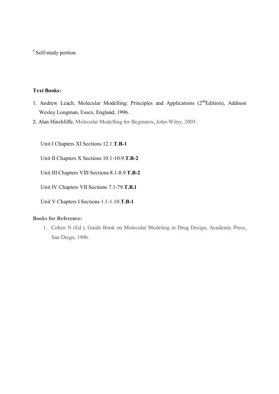### **Text Books:**

- 1. Andrew Leach, Molecular Modelling: Principles and Applications (2<sup>nd</sup>Edition), Addison Wesley Longman, Essex, England, 1996.
- **2.** Alan Hinchliffe, Molecular Modelling for Beginners, John-Wiley, 2003.

Unit I Chapters XI Sections 12.1.**T.B-1**

Unit II Chapters X Sections 10.1-10.9.**T.B-2**

Unit III Chapters VIII Sections 8.1-8.9.**T.B-2**

Unit IV Chapters VII Sections 7.1-79.**T.B.1**

Unit V Chapters I Sections 1.1-1.10.**T.B-1**

#### **Books for Reference:**

1. Cohen N (Ed.), Guide Book on Molecular Modeling in Drug Design, Academic Press, San Diego, 1996.